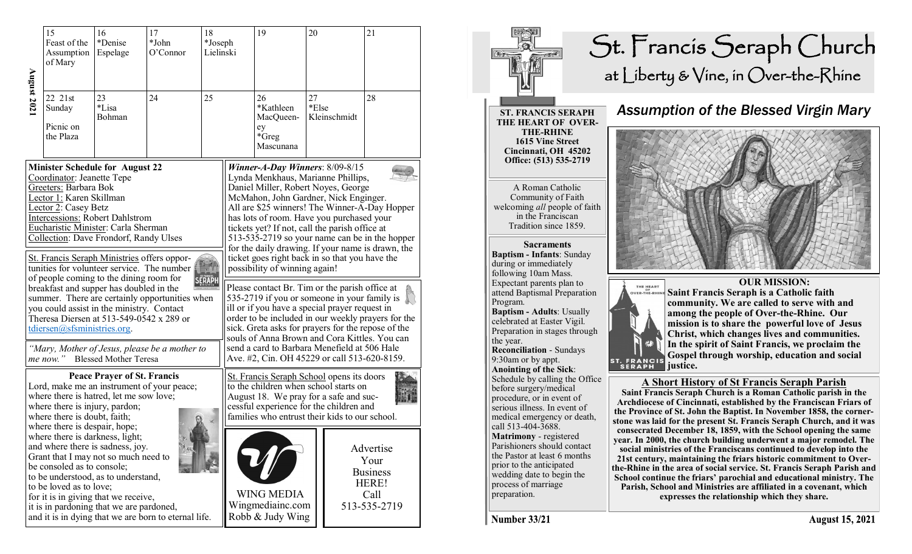|                                                                                                                                                                                                                                                                                                                                                                                                                                                                                                                                                                                                                                                                                                                  | 15<br>Feast of the<br>Assumption<br>of Mary | 16<br>*Denise<br>Espelage | 17<br>*John<br>O'Connor | 18<br>*Joseph<br>Lielinski |                                                                                                                                                                                                                                                                                                                                                                                                                                                                                                                                                                                                                                                                                                                                                                                                                                                                                                                    | 19                                                        | 20          |              | 21                                                                    |
|------------------------------------------------------------------------------------------------------------------------------------------------------------------------------------------------------------------------------------------------------------------------------------------------------------------------------------------------------------------------------------------------------------------------------------------------------------------------------------------------------------------------------------------------------------------------------------------------------------------------------------------------------------------------------------------------------------------|---------------------------------------------|---------------------------|-------------------------|----------------------------|--------------------------------------------------------------------------------------------------------------------------------------------------------------------------------------------------------------------------------------------------------------------------------------------------------------------------------------------------------------------------------------------------------------------------------------------------------------------------------------------------------------------------------------------------------------------------------------------------------------------------------------------------------------------------------------------------------------------------------------------------------------------------------------------------------------------------------------------------------------------------------------------------------------------|-----------------------------------------------------------|-------------|--------------|-----------------------------------------------------------------------|
| August 202                                                                                                                                                                                                                                                                                                                                                                                                                                                                                                                                                                                                                                                                                                       | 22 21st<br>Sunday<br>Picnic on<br>the Plaza | 23<br>*Lisa<br>Bohman     | 24                      | 25                         |                                                                                                                                                                                                                                                                                                                                                                                                                                                                                                                                                                                                                                                                                                                                                                                                                                                                                                                    | 26<br>*Kathleen<br>MacQueen-<br>ey<br>*Greg<br>Mascunana  | 27<br>*Else | Kleinschmidt | 28                                                                    |
| <b>Minister Schedule for August 22</b><br>Coordinator: Jeanette Tepe<br>Greeters: Barbara Bok<br>Lector 1: Karen Skillman<br>Lector 2: Casey Betz<br><b>Intercessions: Robert Dahlstrom</b><br>Eucharistic Minister: Carla Sherman<br>Collection: Dave Frondorf, Randy Ulses<br>St. Francis Seraph Ministries offers oppor-<br>tunities for volunteer service. The number<br>of people coming to the dining room for<br>SERAPH<br>breakfast and supper has doubled in the<br>summer. There are certainly opportunities when<br>you could assist in the ministry. Contact<br>Theresa Diersen at 513-549-0542 x 289 or<br>tdiersen@sfsministries.org.<br>"Mary, Mother of Jesus, please be a mother to<br>me now." |                                             |                           |                         |                            | Winner-A-Day Winners: $8/09-8/15$<br>Lynda Menkhaus, Marianne Phillips,<br>Daniel Miller, Robert Noyes, George<br>McMahon, John Gardner, Nick Enginger.<br>All are \$25 winners! The Winner-A-Day Hopper<br>has lots of room. Have you purchased your<br>tickets yet? If not, call the parish office at<br>513-535-2719 so your name can be in the hopper<br>for the daily drawing. If your name is drawn, the<br>ticket goes right back in so that you have the<br>possibility of winning again!<br>Please contact Br. Tim or the parish office at<br>535-2719 if you or someone in your family is<br>ill or if you have a special prayer request in<br>order to be included in our weekly prayers for the<br>sick. Greta asks for prayers for the repose of the<br>souls of Anna Brown and Cora Kittles. You can<br>send a card to Barbara Menefield at 506 Hale<br>Ave. #2, Cin. OH 45229 or call 513-620-8159. |                                                           |             |              |                                                                       |
| <b>Blessed Mother Teresa</b><br><b>Peace Prayer of St. Francis</b><br>Lord, make me an instrument of your peace;<br>where there is hatred, let me sow love;<br>where there is injury, pardon;<br>where there is doubt, faith;<br>where there is despair, hope;<br>where there is darkness, light;<br>and where there is sadness, joy.<br>Grant that I may not so much need to<br>be consoled as to console;<br>to be understood, as to understand,<br>to be loved as to love;<br>for it is in giving that we receive,<br>it is in pardoning that we are pardoned,<br>and it is in dying that we are born to eternal life.                                                                                        |                                             |                           |                         |                            | St. Francis Seraph School opens its doors<br>to the children when school starts on<br>August 18. We pray for a safe and suc-<br>cessful experience for the children and<br>families who entrust their kids to our school.                                                                                                                                                                                                                                                                                                                                                                                                                                                                                                                                                                                                                                                                                          |                                                           |             |              |                                                                       |
|                                                                                                                                                                                                                                                                                                                                                                                                                                                                                                                                                                                                                                                                                                                  |                                             |                           |                         |                            |                                                                                                                                                                                                                                                                                                                                                                                                                                                                                                                                                                                                                                                                                                                                                                                                                                                                                                                    | <b>WING MEDIA</b><br>Wingmediainc.com<br>Robb & Judy Wing |             |              | Advertise<br>Your<br><b>Business</b><br>HERE!<br>Call<br>513-535-2719 |



**School continue the friars' parochial and educational ministry. The Parish, School and Ministries are affiliated in a covenant, which expresses the relationship which they share.** 

**Number 33/21** 

process of marriage preparation.